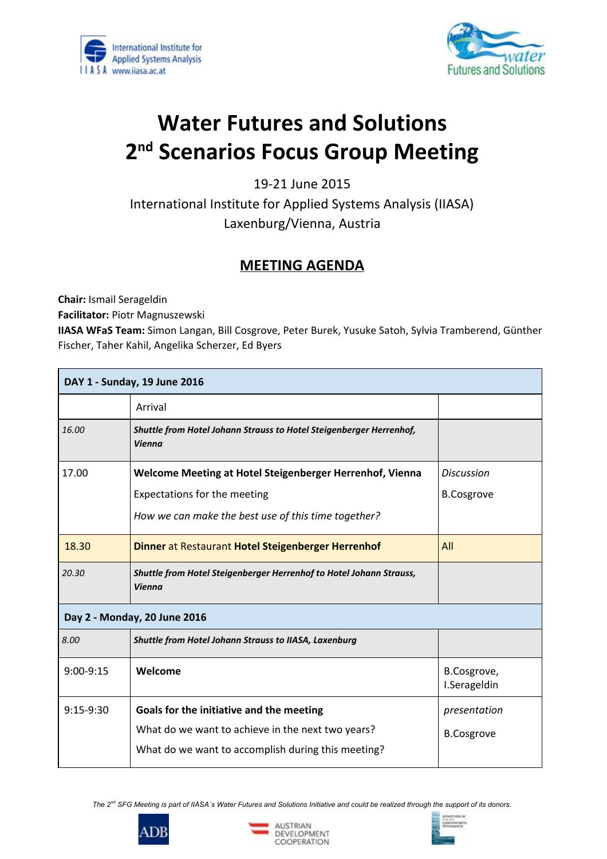



## **Water Futures and Solutions 2ndScenarios Focus Group Meeting**

1921 June 2015 International Institute for Applied Systems Analysis (IIASA) Laxenburg/Vienna, Austria

## **MEETING AGENDA**

**Chair:**Ismail Serageldin

**Facilitator:**Piotr Magnuszewski

**IIASA WFaS Team:**Simon Langan, Bill Cosgrove, Peter Burek, Yusuke Satoh, Sylvia Tramberend, Günther Fischer, Taher Kahil, Angelika Scherzer, Ed Byers

| DAY 1 - Sunday, 19 June 2016 |                                                                                      |                             |  |  |
|------------------------------|--------------------------------------------------------------------------------------|-----------------------------|--|--|
|                              | Arrival                                                                              |                             |  |  |
| 16.00                        | Shuttle from Hotel Johann Strauss to Hotel Steigenberger Herrenhof,<br><b>Vienna</b> |                             |  |  |
| 17.00                        | Welcome Meeting at Hotel Steigenberger Herrenhof, Vienna                             | <b>Discussion</b>           |  |  |
|                              | Expectations for the meeting                                                         | <b>B.Cosgrove</b>           |  |  |
|                              | How we can make the best use of this time together?                                  |                             |  |  |
| 18.30                        | Dinner at Restaurant Hotel Steigenberger Herrenhof                                   | All                         |  |  |
| 20.30                        | Shuttle from Hotel Steigenberger Herrenhof to Hotel Johann Strauss,<br><b>Vienna</b> |                             |  |  |
| Day 2 - Monday, 20 June 2016 |                                                                                      |                             |  |  |
| 8.00                         | Shuttle from Hotel Johann Strauss to IIASA, Laxenburg                                |                             |  |  |
| $9:00-9:15$                  | Welcome                                                                              | B.Cosgrove,<br>I.Serageldin |  |  |
| $9:15-9:30$                  | Goals for the initiative and the meeting                                             | presentation                |  |  |
|                              | What do we want to achieve in the next two years?                                    | <b>B.Cosgrove</b>           |  |  |
|                              | What do we want to accomplish during this meeting?                                   |                             |  |  |

The 2<sup>nd</sup> SFG Meeting is part of IIASA's Water Futures and Solutions Initiative and could be realized through the support of its donors.





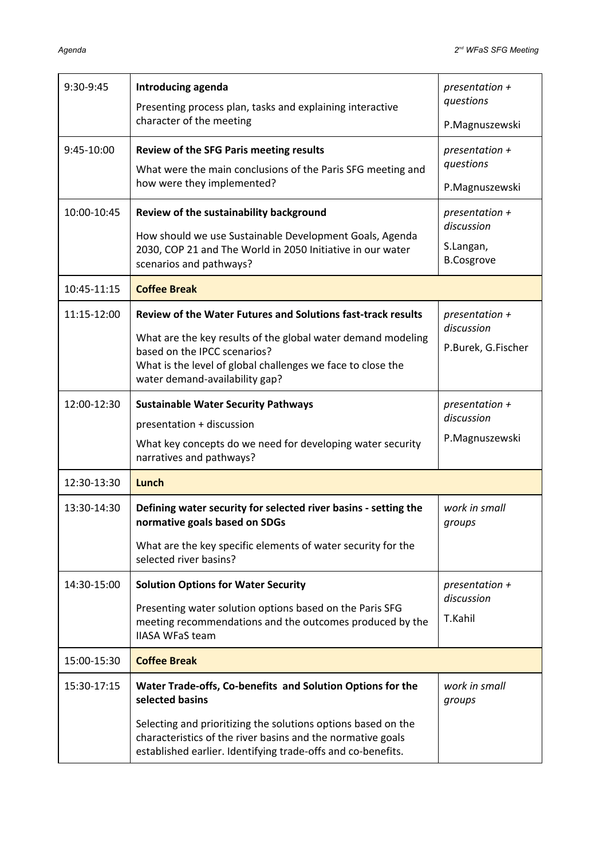| 9:30-9:45   | Introducing agenda<br>Presenting process plan, tasks and explaining interactive<br>character of the meeting                                                                                                                                                                   | presentation $+$<br>questions<br>P.Magnuszewski                  |
|-------------|-------------------------------------------------------------------------------------------------------------------------------------------------------------------------------------------------------------------------------------------------------------------------------|------------------------------------------------------------------|
| 9:45-10:00  | <b>Review of the SFG Paris meeting results</b><br>What were the main conclusions of the Paris SFG meeting and<br>how were they implemented?                                                                                                                                   | presentation $+$<br>questions<br>P.Magnuszewski                  |
| 10:00-10:45 | Review of the sustainability background<br>How should we use Sustainable Development Goals, Agenda<br>2030, COP 21 and The World in 2050 Initiative in our water<br>scenarios and pathways?                                                                                   | presentation $+$<br>discussion<br>S.Langan,<br><b>B.Cosgrove</b> |
| 10:45-11:15 | <b>Coffee Break</b>                                                                                                                                                                                                                                                           |                                                                  |
| 11:15-12:00 | <b>Review of the Water Futures and Solutions fast-track results</b><br>What are the key results of the global water demand modeling<br>based on the IPCC scenarios?<br>What is the level of global challenges we face to close the<br>water demand-availability gap?          | presentation $+$<br>discussion<br>P.Burek, G.Fischer             |
| 12:00-12:30 | <b>Sustainable Water Security Pathways</b><br>presentation + discussion<br>What key concepts do we need for developing water security<br>narratives and pathways?                                                                                                             | presentation $+$<br>discussion<br>P.Magnuszewski                 |
| 12:30-13:30 | Lunch                                                                                                                                                                                                                                                                         |                                                                  |
| 13:30-14:30 | Defining water security for selected river basins - setting the<br>normative goals based on SDGs<br>What are the key specific elements of water security for the<br>selected river basins?                                                                                    | work in small<br>groups                                          |
| 14:30-15:00 | <b>Solution Options for Water Security</b><br>Presenting water solution options based on the Paris SFG<br>meeting recommendations and the outcomes produced by the<br><b>IIASA WFaS team</b>                                                                                  | presentation $+$<br>discussion<br>T.Kahil                        |
| 15:00-15:30 | <b>Coffee Break</b>                                                                                                                                                                                                                                                           |                                                                  |
| 15:30-17:15 | Water Trade-offs, Co-benefits and Solution Options for the<br>selected basins<br>Selecting and prioritizing the solutions options based on the<br>characteristics of the river basins and the normative goals<br>established earlier. Identifying trade-offs and co-benefits. | work in small<br>groups                                          |